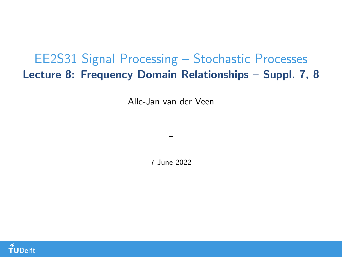## <span id="page-0-0"></span>EE2S31 Signal Processing – Stochastic Processes Lecture 8: Frequency Domain Relationships – Suppl. 7, 8

Alle-Jan van der Veen

7 June 2022

–

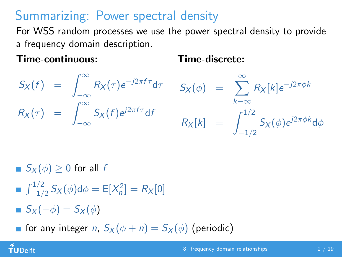# Summarizing: Power spectral density

For WSS random processes we use the power spectral density to provide a frequency domain description.

#### Time-continuous:

#### Time-discrete:

$$
S_X(f) = \int_{-\infty}^{\infty} R_X(\tau) e^{-j2\pi f \tau} d\tau \t S_X(\phi) = \sum_{k=-\infty}^{\infty} R_X[k] e^{-j2\pi \phi k}
$$
  

$$
R_X(\tau) = \int_{-\infty}^{\infty} S_X(f) e^{j2\pi f \tau} df \t R_X[k] = \int_{-1/2}^{1/2} S_X(\phi) e^{j2\pi \phi k} d\phi
$$

 $S_X(\phi) > 0$  for all f

- $\int_{-1/2}^{1/2} S_X(\phi) d\phi = E[X_n^2] = R_X[0]$
- $S_X(-\phi) = S_X(\phi)$

 $\tilde{\mathbf{f}}$ UDelft

**for any integer n,**  $S_X(\phi+n) = S_X(\phi)$  (periodic)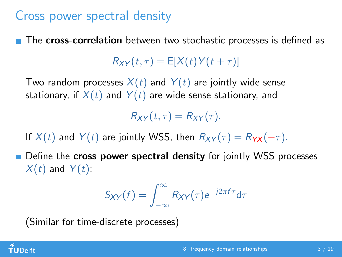### Cross power spectral density

The cross-correlation between two stochastic processes is defined as

 $R_{XY}(t, \tau) = E[X(t)Y(t+\tau)]$ 

Two random processes  $X(t)$  and  $Y(t)$  are jointly wide sense stationary, if  $X(t)$  and  $Y(t)$  are wide sense stationary, and

 $R_{XY}(t, \tau) = R_{XY}(\tau).$ 

If  $X(t)$  and  $Y(t)$  are jointly WSS, then  $R_{XY}(\tau) = R_{YY}(-\tau)$ .

**Define the cross power spectral density** for jointly WSS processes  $X(t)$  and  $Y(t)$ :

$$
S_{XY}(f) = \int_{-\infty}^{\infty} R_{XY}(\tau) e^{-j2\pi f \tau} d\tau
$$

(Similar for time-discrete processes)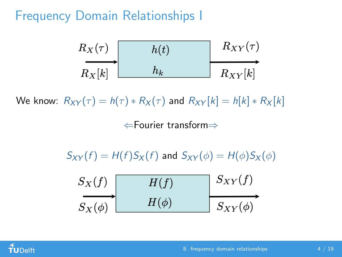#### Frequency Domain Relationships I



We know:  $R_{XY}(\tau) = h(\tau) * R_X(\tau)$  and  $R_{XY}[k] = h[k] * R_X[k]$ 

⇐Fourier transform⇒

 $S_{XY}(f) = H(f)S_X(f)$  and  $S_{XY}(\phi) = H(\phi)S_X(\phi)$ 



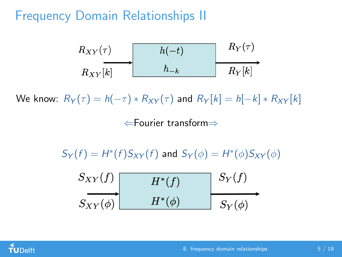#### Frequency Domain Relationships II

$$
\begin{array}{c|c|c|c|c} R_{XY}(\tau) & & h(-t) & R_Y(\tau) \\ \hline R_{XY}[k] & & h_{-k} & R_Y[k] \\ \end{array}
$$

We know:  $R_Y(\tau) = h(-\tau) * R_{XY}(\tau)$  and  $R_Y[k] = h[-k] * R_{XY}[k]$ ⇐Fourier transform⇒

 $S_Y(f) = H^*(f)S_{XY}(f)$  and  $S_Y(\phi) = H^*(\phi)S_{XY}(\phi)$ 

$$
\begin{array}{c|c|c}\nS_{XY}(f) & H^*(f) & S_Y(f) \\
\hline\nS_{XY}(\phi) & H^*(\phi) & S_Y(\phi)\n\end{array}
$$

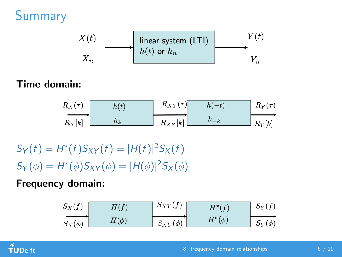# Summary



#### Time domain:



 $S_Y(f) = H^*(f)S_{XY}(f) = |H(f)|^2S_X(f)$  $S_Y(\phi) = H^*(\phi)S_{XY}(\phi) = |H(\phi)|^2 S_X(\phi)$ 

Frequency domain:

$$
\begin{array}{c|c|c|c|c} S_X(f) & H(f) & S_{XY}(f) & H^*(f) & S_Y(f) \\ \hline S_X(\phi) & H(\phi) & S_{XY}(\phi) & H^*(\phi) & S_Y(\phi) \end{array}
$$

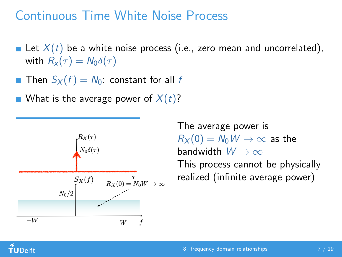#### Continuous Time White Noise Process

- Let  $X(t)$  be a white noise process (i.e., zero mean and uncorrelated), with  $R_{x}(\tau) = N_{0}\delta(\tau)$
- **Then**  $S_X(f) = N_0$ : constant for all f
- What is the average power of  $X(t)$ ?



The average power is  $R_X(0) = N_0 W \rightarrow \infty$  as the bandwidth  $W \to \infty$ This process cannot be physically realized (infinite average power)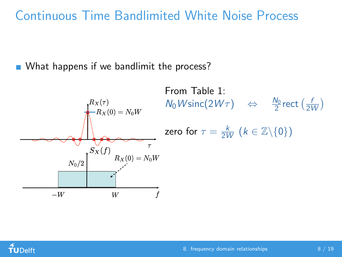#### Continuous Time Bandlimited White Noise Process

What happens if we bandlimit the process?



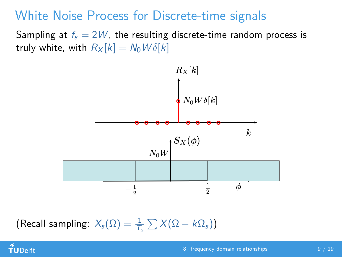### White Noise Process for Discrete-time signals

Sampling at  $f_s = 2W$ , the resulting discrete-time random process is truly white, with  $R_X[k] = N_0 W \delta[k]$ 



(Recall sampling:  $X_s(\Omega) = \frac{1}{T_s} \sum X(\Omega - k\Omega_s)$ )

## $f$ UDelft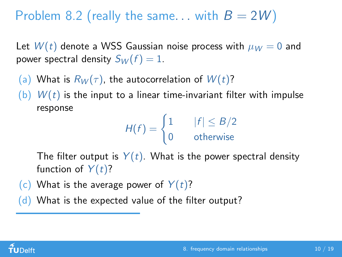## Problem 8.2 (really the same... with  $B = 2W$ )

Let  $W(t)$  denote a WSS Gaussian noise process with  $\mu_W = 0$  and power spectral density  $S_W(f) = 1$ .

(a) What is  $R_W(\tau)$ , the autocorrelation of  $W(t)$ ?

(b)  $W(t)$  is the input to a linear time-invariant filter with impulse response

$$
H(f) = \begin{cases} 1 & |f| \leq B/2 \\ 0 & \text{otherwise} \end{cases}
$$

The filter output is  $Y(t)$ . What is the power spectral density function of  $Y(t)$ ?

(c) What is the average power of  $Y(t)$ ?

 $(d)$  What is the expected value of the filter output?

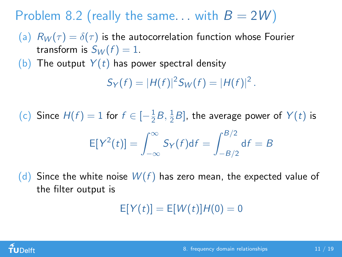Problem 8.2 (really the same... with  $B = 2W$ )

(a)  $R_W(\tau) = \delta(\tau)$  is the autocorrelation function whose Fourier transform is  $S_W(f) = 1$ .

(b) The output  $Y(t)$  has power spectral density

 $S_Y(f) = |H(f)|^2 S_W(f) = |H(f)|^2$ .

(c) Since  $H(f) = 1$  for  $f \in \left[-\frac{1}{2}\right]$  $\frac{1}{2}B, \frac{1}{2}$  $\frac{1}{2}B$ , the average power of  $Y(t)$  is  $E[Y^2(t)] = \int_0^\infty$ −∞  $S_Y(f)$ d $f =$  $\int$ <sup>B/2</sup>  $-B/2$  $df = B$ 

(d) Since the white noise  $W(f)$  has zero mean, the expected value of the filter output is

 $E[Y(t)] = E[W(t)]H(0) = 0$ 

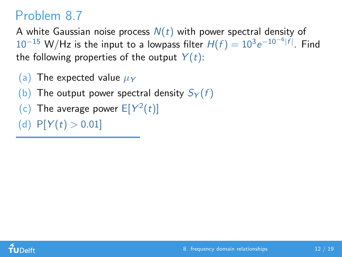A white Gaussian noise process  $N(t)$  with power spectral density of  $10^{-15}$  W/Hz is the input to a lowpass filter  $H(f) = 10^3 e^{-10^{-6}|f|}$ . Find the following properties of the output  $Y(t)$ :

- (a) The expected value  $\mu_Y$
- (b) The output power spectral density  $S_Y(f)$
- (c) The average power  $E[Y^2(t)]$
- (d)  $P[Y(t) > 0.01]$

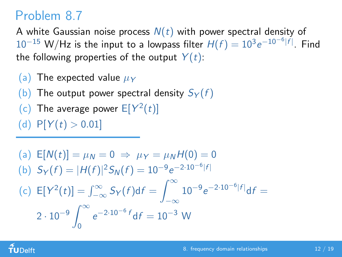A white Gaussian noise process  $N(t)$  with power spectral density of  $10^{-15}$  W/Hz is the input to a lowpass filter  $H(f) = 10^3 e^{-10^{-6}|f|}$ . Find the following properties of the output  $Y(t)$ :

- (a) The expected value  $\mu_Y$
- (b) The output power spectral density  $S_Y(f)$
- (c) The average power  $E[Y^2(t)]$

(d)  $P[Y(t) > 0.01]$ 

(a) 
$$
E[N(t)] = \mu_N = 0 \Rightarrow \mu_Y = \mu_N H(0) = 0
$$
  
\n(b)  $S_Y(f) = |H(f)|^2 S_N(f) = 10^{-9} e^{-2 \cdot 10^{-6} |f|}$   
\n(c)  $E[Y^2(t)] = \int_{-\infty}^{\infty} S_Y(f) df = \int_{-\infty}^{\infty} 10^{-9} e^{-2 \cdot 10^{-6} |f|} df = 2 \cdot 10^{-9} \int_{0}^{\infty} e^{-2 \cdot 10^{-6} f} df = 10^{-3} W$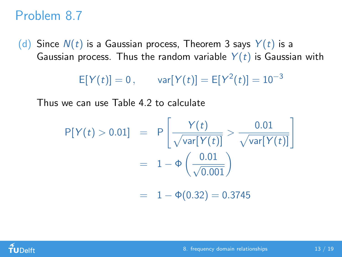(d) Since  $N(t)$  is a Gaussian process, Theorem 3 says  $Y(t)$  is a Gaussian process. Thus the random variable  $Y(t)$  is Gaussian with

 $E[Y(t)] = 0$ ,  $var[Y(t)] = E[Y^2(t)] = 10^{-3}$ 

Thus we can use Table 4.2 to calculate

$$
P[Y(t) > 0.01] = P\left[\frac{Y(t)}{\sqrt{\text{var}[Y(t)]}} > \frac{0.01}{\sqrt{\text{var}[Y(t)]}}\right]
$$

$$
= 1 - \Phi\left(\frac{0.01}{\sqrt{0.001}}\right)
$$

$$
= 1 - \Phi(0.32) = 0.3745
$$

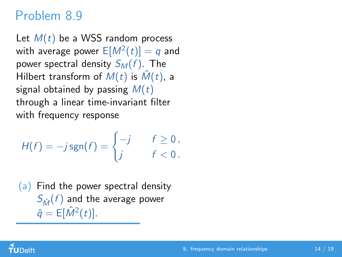Let  $M(t)$  be a WSS random process with average power  $\mathsf{E}[M^2(t)]=q$  and power spectral density  $S_M(f)$ . The Hilbert transform of  $M(t)$  is  $\hat{M}(t)$ , a signal obtained by passing  $M(t)$ through a linear time-invariant filter with frequency response

$$
H(f) = -j \operatorname{sgn}(f) = \begin{cases} -j & f \geq 0, \\ j & f < 0. \end{cases}
$$

(a) Find the power spectral density  $S_{\hat{M}}(f)$  and the average power  $\hat{q} = \mathsf{E}[\hat{M}^2(t)].$ 

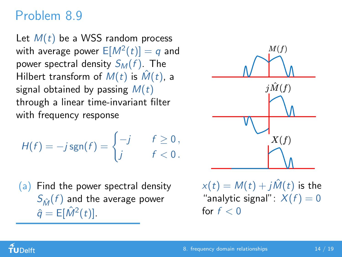Let  $M(t)$  be a WSS random process with average power  $\mathsf{E}[M^2(t)]=q$  and power spectral density  $S_M(f)$ . The Hilbert transform of  $M(t)$  is  $\hat{M}(t)$ , a signal obtained by passing  $M(t)$ through a linear time-invariant filter with frequency response

$$
H(f) = -j \operatorname{sgn}(f) = \begin{cases} -j & f \geq 0, \\ j & f < 0. \end{cases}
$$

 $(a)$  Find the power spectral density  $S_{\hat{M}}(f)$  and the average power  $\hat{q} = \mathsf{E}[\hat{M}^2(t)].$ 



 $x(t) = M(t) + i\hat{M}(t)$  is the "analytic signal":  $X(f) = 0$ for  $f < 0$ 

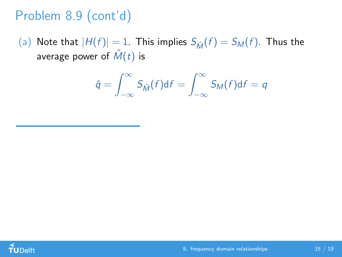# Problem 8.9 (cont'd)

(a) Note that  $|H(f)| = 1$ . This implies  $S_{\hat{M}}(f) = S_M(f)$ . Thus the average power of  $\hat{M}(t)$  is

$$
\hat{q} = \int_{-\infty}^{\infty} S_{\hat{M}}(f) df = \int_{-\infty}^{\infty} S_M(f) df = q
$$

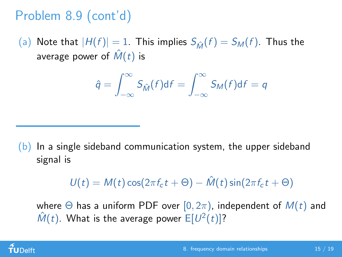# Problem 8.9 (cont'd)

(a) Note that  $|H(f)| = 1$ . This implies  $S_{\hat{M}}(f) = S_M(f)$ . Thus the average power of  $\hat{M}(t)$  is

$$
\hat{q} = \int_{-\infty}^{\infty} S_{\hat{M}}(f) df = \int_{-\infty}^{\infty} S_M(f) df = q
$$

 $(b)$  In a single sideband communication system, the upper sideband signal is

$$
U(t) = M(t)\cos(2\pi f_c t + \Theta) - \hat{M}(t)\sin(2\pi f_c t + \Theta)
$$

where  $\Theta$  has a uniform PDF over  $[0, 2\pi)$ , independent of  $M(t)$  and  $\hat{M}(t)$ . What is the average power  $E[U^2(t)]$ ?

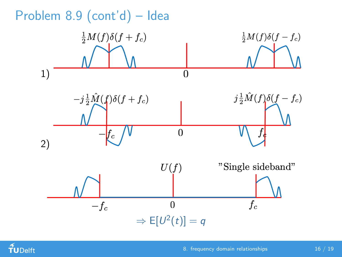

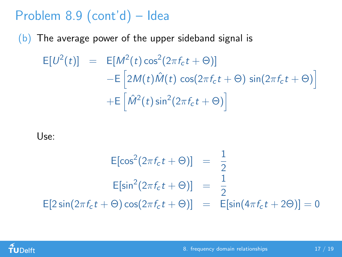# Problem 8.9 (cont'd) – Idea

 $(b)$  The average power of the upper sideband signal is

$$
E[U^2(t)] = E[M^2(t)\cos^2(2\pi f_c t + \Theta)]
$$
  
\n
$$
-E[2M(t)\hat{M}(t)\cos(2\pi f_c t + \Theta)\sin(2\pi f_c t + \Theta)]
$$
  
\n
$$
+E[\hat{M}^2(t)\sin^2(2\pi f_c t + \Theta)]
$$

Use:

$$
E[\cos^{2}(2\pi f_{c}t + \Theta)] = \frac{1}{2}
$$
  
\n
$$
E[\sin^{2}(2\pi f_{c}t + \Theta)] = \frac{1}{2}
$$
  
\n
$$
E[2\sin(2\pi f_{c}t + \Theta)\cos(2\pi f_{c}t + \Theta)] = E[\sin(4\pi f_{c}t + 2\Theta)] = 0
$$

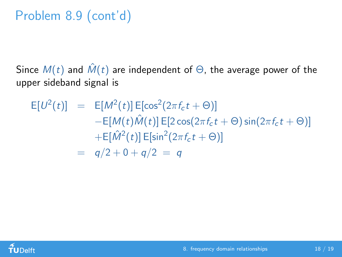# Problem 8.9 (cont'd)

Since  $M(t)$  and  $\hat{M}(t)$  are independent of  $\Theta$ , the average power of the upper sideband signal is

$$
E[U^{2}(t)] = E[M^{2}(t)] E[cos^{2}(2\pi f_{c}t + \Theta)]
$$
  
\n
$$
-E[M(t)\hat{M}(t)] E[2 cos(2\pi f_{c}t + \Theta) sin(2\pi f_{c}t + \Theta)]
$$
  
\n
$$
+E[\hat{M}^{2}(t)] E[sin^{2}(2\pi f_{c}t + \Theta)]
$$
  
\n
$$
= q/2 + 0 + q/2 = q
$$